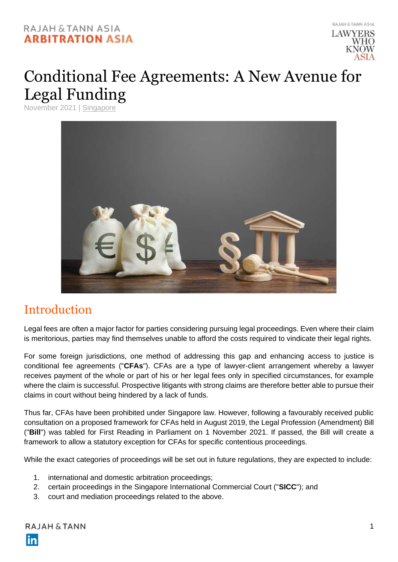#### RAJAH & TANN ASIA **ARBITRATION ASIA**



# Conditional Fee Agreements: A New Avenue for Legal Funding

November 2021 | [Singapore](https://arbitrationasia.rajahtannasia.com/articles/singapore/)



## Introduction

Legal fees are often a major factor for parties considering pursuing legal proceedings. Even where their claim is meritorious, parties may find themselves unable to afford the costs required to vindicate their legal rights.

For some foreign jurisdictions, one method of addressing this gap and enhancing access to justice is conditional fee agreements ("**CFAs**"). CFAs are a type of lawyer-client arrangement whereby a lawyer receives payment of the whole or part of his or her legal fees only in specified circumstances, for example where the claim is successful. Prospective litigants with strong claims are therefore better able to pursue their claims in court without being hindered by a lack of funds.

Thus far, CFAs have been prohibited under Singapore law. However, following a favourably received public consultation on a proposed framework for CFAs held in August 2019, the Legal Profession (Amendment) Bill ("**Bill**") was tabled for First Reading in Parliament on 1 November 2021. If passed, the Bill will create a framework to allow a statutory exception for CFAs for specific contentious proceedings.

While the exact categories of proceedings will be set out in future regulations, they are expected to include:

- 1. international and domestic arbitration proceedings;
- 2. certain proceedings in the Singapore International Commercial Court ("**SICC**"); and
- 3. court and mediation proceedings related to the above.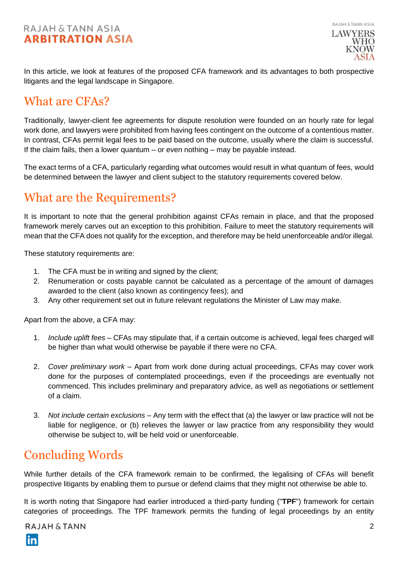#### RAJAH & TANN ASIA **ARBITRATION ASIA**

RAJAH & TANN ASIA **LAWYERS** WHO

In this article, we look at features of the proposed CFA framework and its advantages to both prospective litigants and the legal landscape in Singapore.

#### What are CFAs?

Traditionally, lawyer-client fee agreements for dispute resolution were founded on an hourly rate for legal work done, and lawyers were prohibited from having fees contingent on the outcome of a contentious matter. In contrast, CFAs permit legal fees to be paid based on the outcome, usually where the claim is successful. If the claim fails, then a lower quantum – or even nothing – may be payable instead.

The exact terms of a CFA, particularly regarding what outcomes would result in what quantum of fees, would be determined between the lawyer and client subject to the statutory requirements covered below.

## What are the Requirements?

It is important to note that the general prohibition against CFAs remain in place, and that the proposed framework merely carves out an exception to this prohibition. Failure to meet the statutory requirements will mean that the CFA does not qualify for the exception, and therefore may be held unenforceable and/or illegal.

These statutory requirements are:

- 1. The CFA must be in writing and signed by the client;
- 2. Renumeration or costs payable cannot be calculated as a percentage of the amount of damages awarded to the client (also known as contingency fees); and
- 3. Any other requirement set out in future relevant regulations the Minister of Law may make.

Apart from the above, a CFA may:

- 1. *Include uplift fees*  CFAs may stipulate that, if a certain outcome is achieved, legal fees charged will be higher than what would otherwise be payable if there were no CFA.
- 2. *Cover preliminary work*  Apart from work done during actual proceedings, CFAs may cover work done for the purposes of contemplated proceedings, even if the proceedings are eventually not commenced. This includes preliminary and preparatory advice, as well as negotiations or settlement of a claim.
- 3. *Not include certain exclusions*  Any term with the effect that (a) the lawyer or law practice will not be liable for negligence, or (b) relieves the lawyer or law practice from any responsibility they would otherwise be subject to, will be held void or unenforceable.

## Concluding Words

While further details of the CFA framework remain to be confirmed, the legalising of CFAs will benefit prospective litigants by enabling them to pursue or defend claims that they might not otherwise be able to.

It is worth noting that Singapore had earlier introduced a third-party funding ("**TPF**") framework for certain categories of proceedings. The TPF framework permits the funding of legal proceedings by an entity

RAJAH & TANN